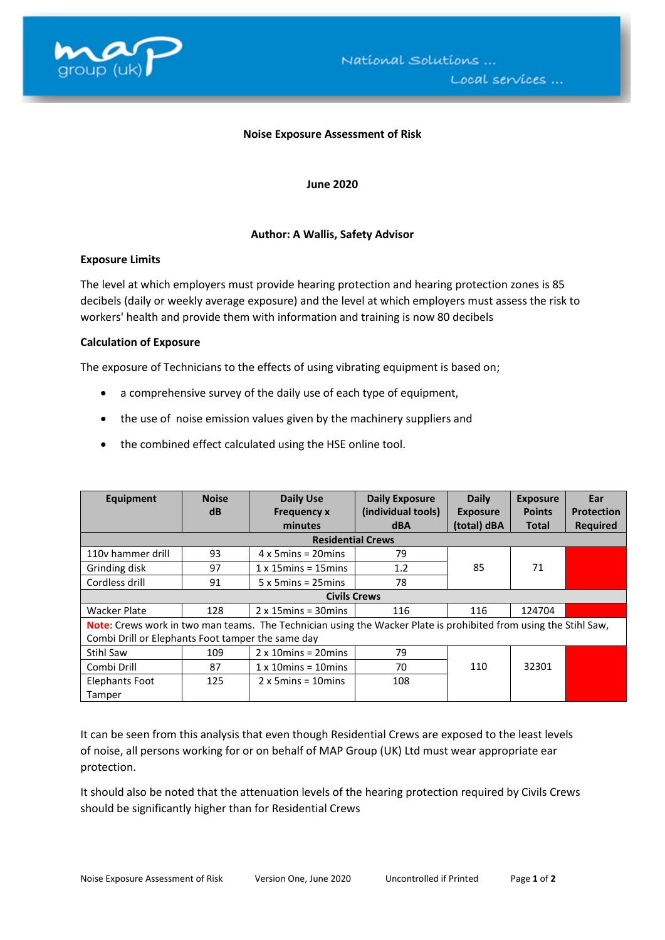

#### **Noise Exposure Assessment of Risk**

**June 2020**

# **Author: A Wallis, Safety Advisor**

### **Exposure Limits**

The level at which employers must provide hearing protection and hearing protection zones is 85 decibels (daily or weekly average exposure) and the level at which employers must assess the risk to workers' health and provide them with information and training is now 80 decibels

# **Calculation of Exposure**

The exposure of Technicians to the effects of using vibrating equipment is based on;

- a comprehensive survey of the daily use of each type of equipment,
- the use of noise emission values given by the machinery suppliers and
- the combined effect calculated using the HSE online tool.

| Equipment                                                                                                        | <b>Noise</b>             | <b>Daily Use</b>               | <b>Daily Exposure</b> | <b>Daily</b>    | <b>Exposure</b> | Ear               |  |  |
|------------------------------------------------------------------------------------------------------------------|--------------------------|--------------------------------|-----------------------|-----------------|-----------------|-------------------|--|--|
|                                                                                                                  | dB                       | <b>Frequency x</b>             | (individual tools)    | <b>Exposure</b> | <b>Points</b>   | <b>Protection</b> |  |  |
|                                                                                                                  |                          | minutes                        | <b>dBA</b>            | (total) dBA     | <b>Total</b>    | <b>Required</b>   |  |  |
|                                                                                                                  | <b>Residential Crews</b> |                                |                       |                 |                 |                   |  |  |
| 110y hammer drill                                                                                                | 93                       | $4 \times 5$ mins = 20 mins    | 79                    |                 |                 |                   |  |  |
| Grinding disk                                                                                                    | 97                       | $1 \times 15$ mins = 15 mins   | 1.2                   | 85              | 71              |                   |  |  |
| Cordless drill                                                                                                   | 91                       | $5 \times 5$ mins = 25 mins    | 78                    |                 |                 |                   |  |  |
|                                                                                                                  | <b>Civils Crews</b>      |                                |                       |                 |                 |                   |  |  |
| <b>Wacker Plate</b>                                                                                              | 128                      | $2 \times 15$ mins = 30 mins   | 116                   | 116             | 124704          |                   |  |  |
| Note: Crews work in two man teams. The Technician using the Wacker Plate is prohibited from using the Stihl Saw, |                          |                                |                       |                 |                 |                   |  |  |
| Combi Drill or Elephants Foot tamper the same day                                                                |                          |                                |                       |                 |                 |                   |  |  |
| Stihl Saw                                                                                                        | 109                      | $2 \times 10$ mins = 20 mins   | 79                    |                 |                 |                   |  |  |
| Combi Drill                                                                                                      | 87                       | $1 \times 10$ mins = $10$ mins | 70                    | 110             | 32301           |                   |  |  |
| Elephants Foot                                                                                                   | 125                      | $2 \times 5$ mins = 10 mins    | 108                   |                 |                 |                   |  |  |
| Tamper                                                                                                           |                          |                                |                       |                 |                 |                   |  |  |

It can be seen from this analysis that even though Residential Crews are exposed to the least levels of noise, all persons working for or on behalf of MAP Group (UK) Ltd must wear appropriate ear protection.

It should also be noted that the attenuation levels of the hearing protection required by Civils Crews should be significantly higher than for Residential Crews